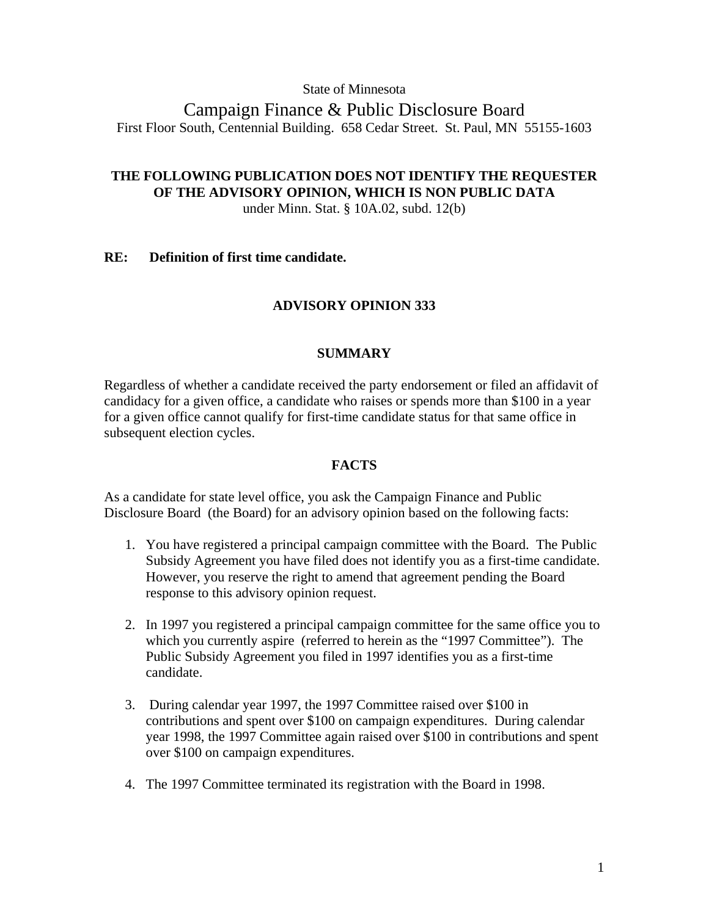### State of Minnesota

Campaign Finance & Public Disclosure Board First Floor South, Centennial Building. 658 Cedar Street. St. Paul, MN 55155-1603

# **THE FOLLOWING PUBLICATION DOES NOT IDENTIFY THE REQUESTER OF THE ADVISORY OPINION, WHICH IS NON PUBLIC DATA**

under Minn. Stat. § 10A.02, subd. 12(b)

### **RE: Definition of first time candidate.**

## **ADVISORY OPINION 333**

### **SUMMARY**

Regardless of whether a candidate received the party endorsement or filed an affidavit of candidacy for a given office, a candidate who raises or spends more than \$100 in a year for a given office cannot qualify for first-time candidate status for that same office in subsequent election cycles.

### **FACTS**

As a candidate for state level office, you ask the Campaign Finance and Public Disclosure Board (the Board) for an advisory opinion based on the following facts:

- 1. You have registered a principal campaign committee with the Board. The Public Subsidy Agreement you have filed does not identify you as a first-time candidate. However, you reserve the right to amend that agreement pending the Board response to this advisory opinion request.
- 2. In 1997 you registered a principal campaign committee for the same office you to which you currently aspire (referred to herein as the "1997 Committee"). The Public Subsidy Agreement you filed in 1997 identifies you as a first-time candidate.
- 3. During calendar year 1997, the 1997 Committee raised over \$100 in contributions and spent over \$100 on campaign expenditures. During calendar year 1998, the 1997 Committee again raised over \$100 in contributions and spent over \$100 on campaign expenditures.
- 4. The 1997 Committee terminated its registration with the Board in 1998.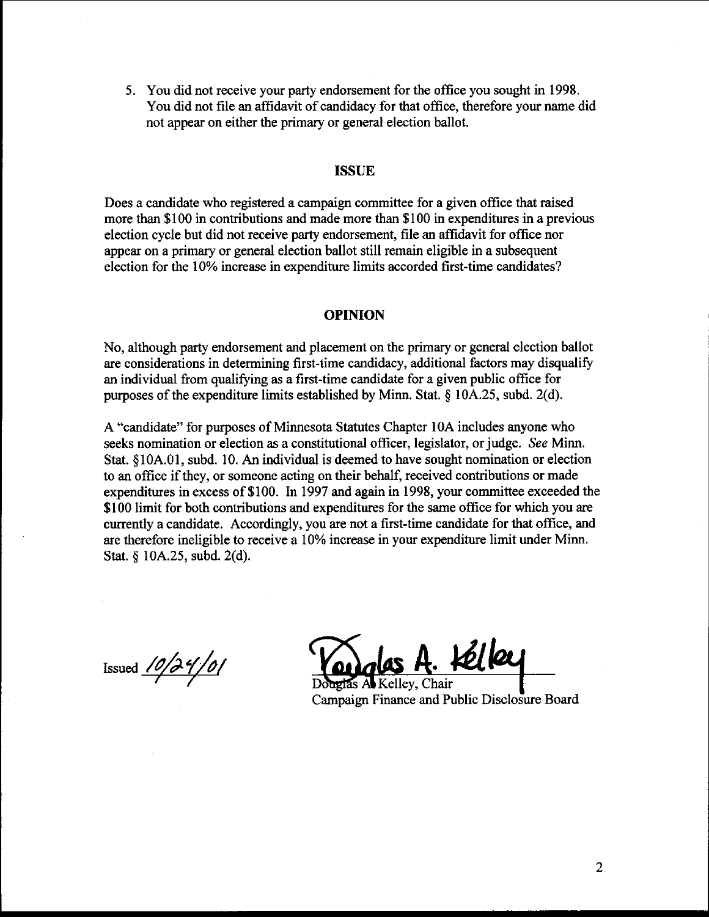5. You did not receive your party endorsement for the office you sought in 1998. You did not file an affidavit of candidacy for that office, therefore your name did not appear on either the primary or general election ballot.

#### **ISSUE**

Does a candidate who registered a campaign committee for a given office that raised more than \$100 in contributions and made more than \$1 00 in expenditures in a previous election cycle but did not receive party endorsement, file an affidavit for office nor appear on a primary or general election ballot still remain eligible in a subsequent election for the 10% increase in expenditure limits accorded first-time candidates?

#### **OPINION**

No, although party endorsement and placement on the primary or general election ballot are considerations in determining first-time candidacy, additional factors may disqualify an individual from qualifying **as** a first-time candidate for a given public office for purposes of the expenditure limits established by Minn. Stat. **5** 10A.25, subd. 2(d).

A "candidate" for purposes of Minnesota Statutes Chapter 10A includes anyone who seeks nomination or election as a constitutional officer, legislator, or judge. See Minn. Stat. §10A.01, subd. 10. **An** individual is deemed to have sought nomination or election to an office if they, or someone acting on their behalf, received contributions or made expenditures in excess of \$100. In 1997 and again in 1998, your committee exceeded the \$100 limit for both contributions and expenditures for the same office for which you are currently a candidate. Accordingly, you are not a first-time candidate for that office, and are therefore ineligible to receive a 10% increase in your expenditure limit under Minn. Stat. 5 10A.25, subd. 2(d).

Issued  $10/39/0$ 

las Al Kelley, Chair Campaign Finance and Public Disclosure Board